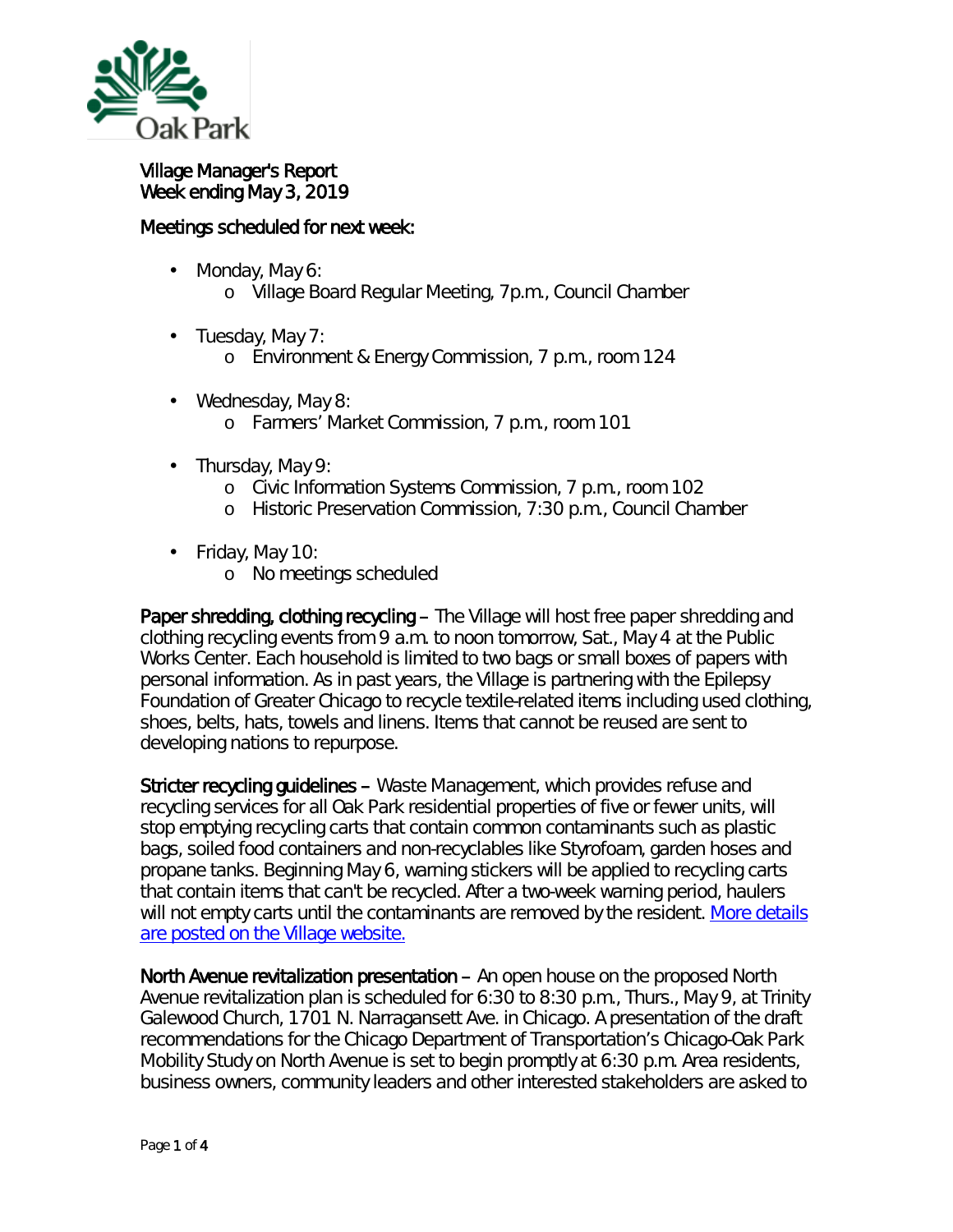

## Village Manager's Report Week ending May 3, 2019

## Meetings scheduled for next week:

- ä, Monday, May 6:
	- o Village Board Regular Meeting, 7p.m., Council Chamber
- Tuesday, May 7: ¥,
	- o Environment & Energy Commission, 7 p.m., room 124
- Wednesday, May 8: ä, o Farmers' Market Commission, 7 p.m., room 101
- Thursday, May 9: ä,
	- o Civic Information Systems Commission, 7 p.m., room 102
	- o Historic Preservation Commission, 7:30 p.m., Council Chamber
- $\mathcal{L}^{\text{max}}$ Friday, May 10:
	- o No meetings scheduled

Paper shredding, clothing recycling – The Village will host free paper shredding and clothing recycling events from 9 a.m. to noon tomorrow, Sat., May 4 at the Public Works Center. Each household is limited to two bags or small boxes of papers with personal information. As in past years, the Village is partnering with the Epilepsy Foundation of Greater Chicago to recycle textile-related items including used clothing, shoes, belts, hats, towels and linens. Items that cannot be reused are sent to developing nations to repurpose.

Stricter recycling guidelines – Waste Management, which provides refuse and recycling services for all Oak Park residential properties of five or fewer units, will stop emptying recycling carts that contain common contaminants such as plastic bags, soiled food containers and non-recyclables like Styrofoam, garden hoses and propane tanks. Beginning May 6, warning stickers will be applied to recycling carts that contain items that can't be recycled. After a two-week warning period, haulers will not empty carts until the contaminants are removed by the resident. More details [are posted on the Village website.](http://mxrelay.oak-park.us:32224/?dmVyPTEuMDAxJiZiYzc1N2NiNzBiZDU2NDQwMT01Q0NBRjdDNF85MDY4XzgxMF8xJiYyNWQwYzA3MjkwZTVkODQ9MTIzMyYmdXJsPWh0dHAlM0ElMkYlMkZyMjAlMkVyczYlMkVuZXQlMkZ0biUyRWpzcCUzRnQlM0RkYzRhdno1YWIlMkUwJTJFMCUyRXFkY2xsbW1hYiUyRTAlMjZpZCUzRHByZXZpZXclMjZyJTNEMyUyNnAlM0RodHRwcyUyNTNBJTI1MkYlMjUyRnd3dyUyRW9hay1wYXJrJTJFdXMlMjUyRm5ld3MlMjUyRndhc3RlLWhhdWxlci1lbmZvcmNlLXN0cmljdGVyLXJlY3ljbGluZy1ydWxlcw==)

North Avenue revitalization presentation – An open house on the proposed North Avenue revitalization plan is scheduled for 6:30 to 8:30 p.m., Thurs., May 9, at Trinity Galewood Church, 1701 N. Narragansett Ave. in Chicago. A presentation of the draft recommendations for the Chicago Department of Transportation's *Chicago-Oak Park Mobility Study on North Avenue* is set to begin promptly at 6:30 p.m. Area residents, business owners, community leaders and other interested stakeholders are asked to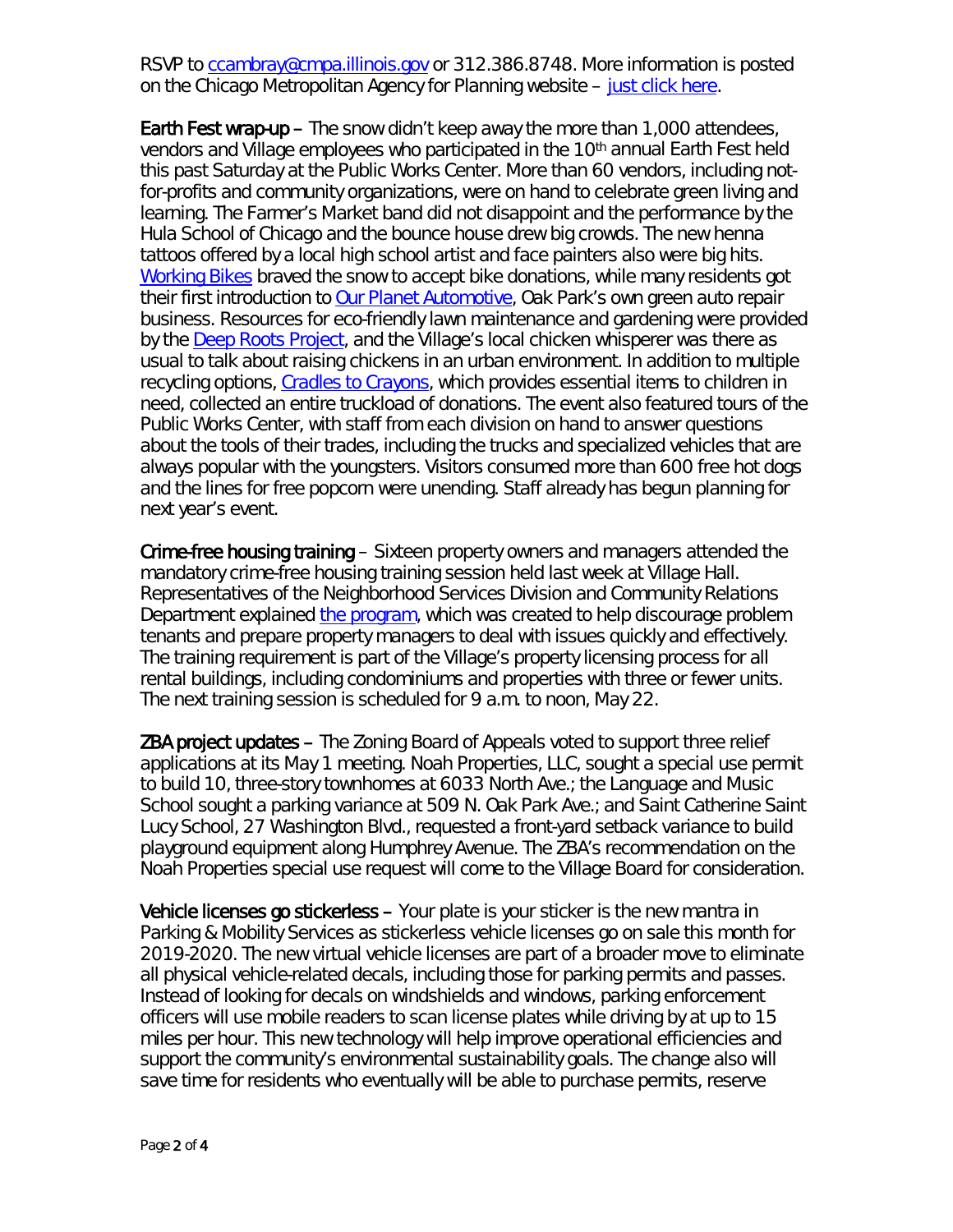RSVP to [ccambray@cmpa.illinois.gov](mailto:ccambray@cmpa.illinois.gov) or 312.386.8748. More information is posted on the Chicago Metropolitan Agency for Planning website – [just click here.](https://www.cmap.illinois.gov/programs/lta/north-avenue)

Earth Fest wrap-up – The snow didn't keep away the more than 1,000 attendees, vendors and Village employees who participated in the 10th annual Earth Fest held this past Saturday at the Public Works Center. More than 60 vendors, including notfor-profits and community organizations, were on hand to celebrate green living and learning. The Farmer's Market band did not disappoint and the performance by the Hula School of Chicago and the bounce house drew big crowds. The new henna tattoos offered by a local high school artist and face painters also were big hits. [Working Bikes](https://www.workingbikes.org/) braved the snow to accept bike donations, while many residents got their first introduction to [Our Planet Automotive,](https://www.ourplanetauto.com/home.html) Oak Park's own green auto repair business. Resources for eco-friendly lawn maintenance and gardening were provided by the Deep Roots Project, and the Village's local chicken whisperer was there as usual to talk about raising chickens in an urban environment. In addition to multiple recycling options, [Cradles to Crayons,](https://www.cradlestocrayons.org/) which provides essential items to children in need, collected an entire truckload of donations. The event also featured tours of the Public Works Center, with staff from each division on hand to answer questions about the tools of their trades, including the trucks and specialized vehicles that are always popular with the youngsters. Visitors consumed more than 600 free hot dogs and the lines for free popcorn were unending. Staff already has begun planning for next year's event.

Crime-free housing training – Sixteen property owners and managers attended the mandatory crime-free housing training session held last week at Village Hall. Representatives of the Neighborhood Services Division and Community Relations Department explained [the program,](https://www.oak-park.us/village-services/housing-programs/crime-free-housing-program) which was created to help discourage problem tenants and prepare property managers to deal with issues quickly and effectively. The training requirement is part of the Village's property licensing process for all rental buildings, including condominiums and properties with three or fewer units. The next training session is scheduled for 9 a.m. to noon, May 22.

ZBA project updates – The Zoning Board of Appeals voted to support three relief applications at its May 1 meeting. Noah Properties, LLC, sought a special use permit to build 10, three-story townhomes at 6033 North Ave.; the Language and Music School sought a parking variance at 509 N. Oak Park Ave.; and Saint Catherine Saint Lucy School, 27 Washington Blvd., requested a front-yard setback variance to build playground equipment along Humphrey Avenue. The ZBA's recommendation on the Noah Properties special use request will come to the Village Board for consideration.

Vehicle licenses go stickerless – *Your plate is your sticker* is the new mantra in Parking & Mobility Services as *stickerless* vehicle licenses go on sale this month for 2019-2020. The new virtual vehicle licenses are part of a broader move to eliminate all physical vehicle-related decals, including those for parking permits and passes. Instead of looking for decals on windshields and windows, parking enforcement officers will use mobile readers to scan license plates while driving by at up to 15 miles per hour. This new technology will help improve operational efficiencies and support the community's environmental sustainability goals. The change also will save time for residents who eventually will be able to purchase permits, reserve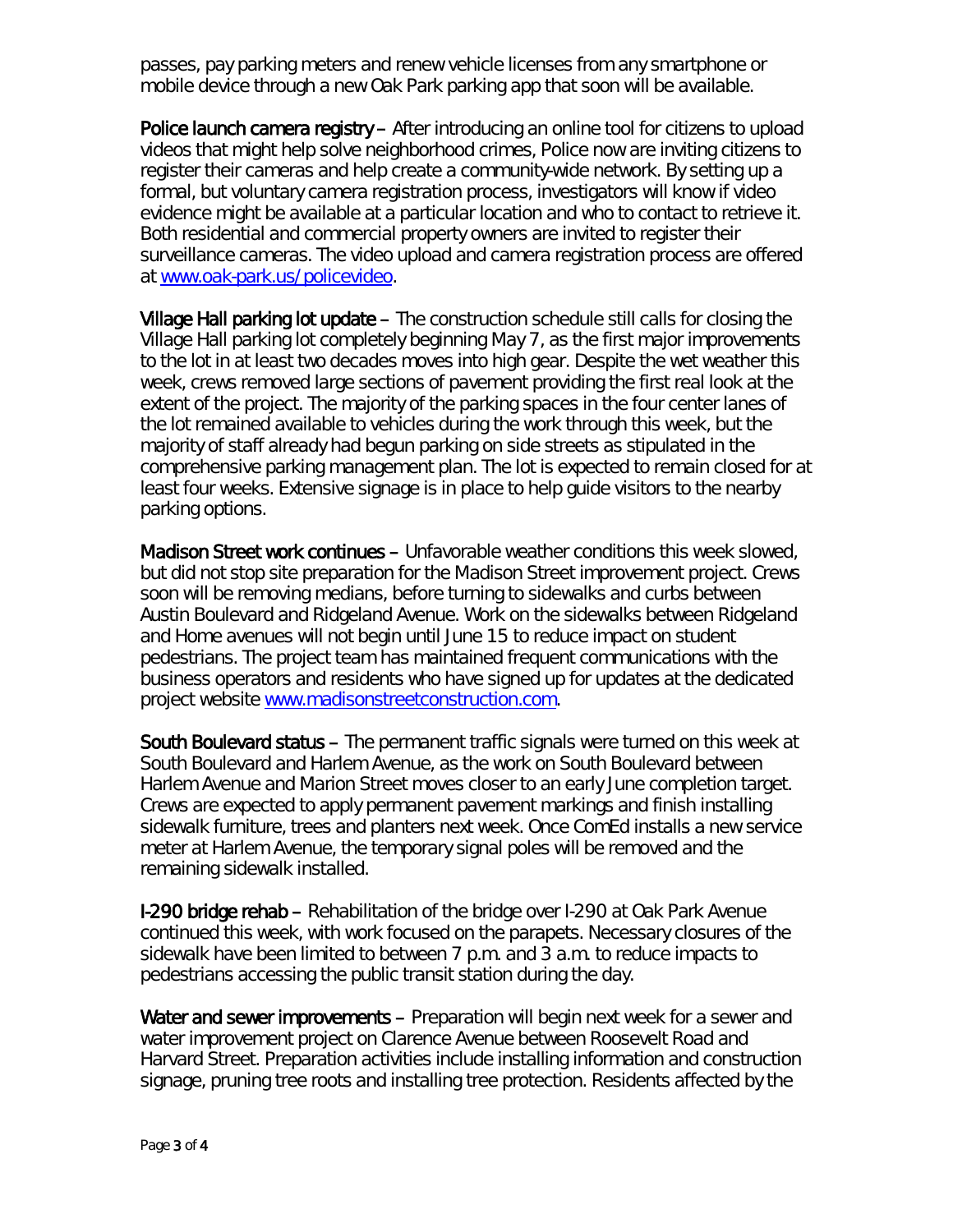passes, pay parking meters and renew vehicle licenses from any smartphone or mobile device through a new Oak Park parking app that soon will be available.

Police launch camera registry – After introducing an online tool for citizens to upload videos that might help solve neighborhood crimes, Police now are inviting citizens to register their cameras and help create a community-wide network. By setting up a formal, but voluntary camera registration process, investigators will know if video evidence might be available at a particular location and who to contact to retrieve it. Both residential and commercial property owners are invited to register their surveillance cameras. The video upload and camera registration process are offered at [www.oak-park.us/policevideo.](http://www.oak-park.us/policevideo)

Village Hall parking lot update – The construction schedule still calls for closing the Village Hall parking lot completely beginning May 7, as the first major improvements to the lot in at least two decades moves into high gear. Despite the wet weather this week, crews removed large sections of pavement providing the first real look at the extent of the project. The majority of the parking spaces in the four center lanes of the lot remained available to vehicles during the work through this week, but the majority of staff already had begun parking on side streets as stipulated in the comprehensive parking management plan. The lot is expected to remain closed for at least four weeks. Extensive signage is in place to help guide visitors to the nearby parking options.

Madison Street work continues – Unfavorable weather conditions this week slowed, but did not stop site preparation for the Madison Street improvement project. Crews soon will be removing medians, before turning to sidewalks and curbs between Austin Boulevard and Ridgeland Avenue. Work on the sidewalks between Ridgeland and Home avenues will not begin until June 15 to reduce impact on student pedestrians. The project team has maintained frequent communications with the business operators and residents who have signed up for updates at the dedicated project website [www.madisonstreetconstruction.com.](http://www.madisonstreetconstruction.com/)

South Boulevard status – The permanent traffic signals were turned on this week at South Boulevard and Harlem Avenue, as the work on South Boulevard between Harlem Avenue and Marion Street moves closer to an early June completion target. Crews are expected to apply permanent pavement markings and finish installing sidewalk furniture, trees and planters next week. Once ComEd installs a new service meter at Harlem Avenue, the temporary signal poles will be removed and the remaining sidewalk installed.

I-290 bridge rehab – Rehabilitation of the bridge over I-290 at Oak Park Avenue continued this week, with work focused on the parapets. Necessary closures of the sidewalk have been limited to between 7 p.m. and 3 a.m. to reduce impacts to pedestrians accessing the public transit station during the day.

Water and sewer improvements – Preparation will begin next week for a sewer and water improvement project on Clarence Avenue between Roosevelt Road and Harvard Street. Preparation activities include installing information and construction signage, pruning tree roots and installing tree protection. Residents affected by the